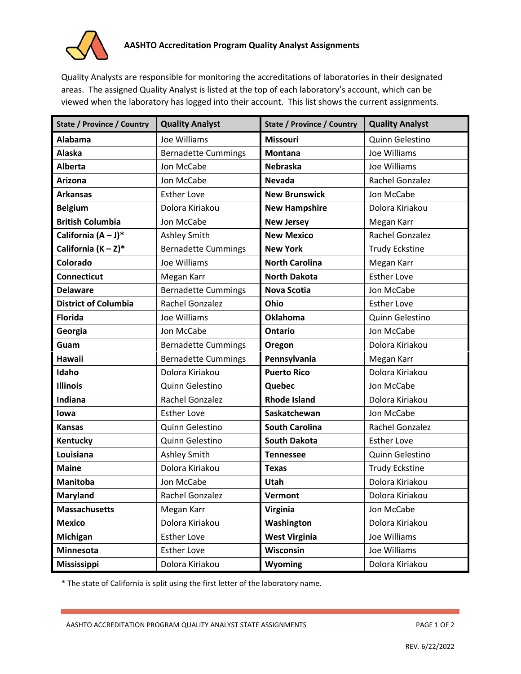

Quality Analysts are responsible for monitoring the accreditations of laboratories in their designated areas. The assigned Quality Analyst is listed at the top of each laboratory's account, which can be viewed when the laboratory has logged into their account. This list shows the current assignments.

| <b>State / Province / Country</b> | <b>Quality Analyst</b>     | <b>State / Province / Country</b> | <b>Quality Analyst</b> |
|-----------------------------------|----------------------------|-----------------------------------|------------------------|
| <b>Alabama</b>                    | Joe Williams               | <b>Missouri</b>                   | Quinn Gelestino        |
| Alaska                            | <b>Bernadette Cummings</b> | <b>Montana</b>                    | Joe Williams           |
| <b>Alberta</b>                    | Jon McCabe                 | <b>Nebraska</b>                   | Joe Williams           |
| <b>Arizona</b>                    | Jon McCabe                 | <b>Nevada</b>                     | Rachel Gonzalez        |
| <b>Arkansas</b>                   | <b>Esther Love</b>         | <b>New Brunswick</b>              | Jon McCabe             |
| <b>Belgium</b>                    | Dolora Kiriakou            | <b>New Hampshire</b>              | Dolora Kiriakou        |
| <b>British Columbia</b>           | Jon McCabe                 | <b>New Jersey</b>                 | Megan Karr             |
| California $(A - J)^*$            | Ashley Smith               | <b>New Mexico</b>                 | Rachel Gonzalez        |
| California $(K - Z)^*$            | <b>Bernadette Cummings</b> | <b>New York</b>                   | <b>Trudy Eckstine</b>  |
| Colorado                          | Joe Williams               | <b>North Carolina</b>             | Megan Karr             |
| <b>Connecticut</b>                | Megan Karr                 | <b>North Dakota</b>               | <b>Esther Love</b>     |
| <b>Delaware</b>                   | <b>Bernadette Cummings</b> | <b>Nova Scotia</b>                | Jon McCabe             |
| <b>District of Columbia</b>       | Rachel Gonzalez            | Ohio                              | <b>Esther Love</b>     |
| <b>Florida</b>                    | Joe Williams               | <b>Oklahoma</b>                   | Quinn Gelestino        |
| Georgia                           | Jon McCabe                 | <b>Ontario</b>                    | Jon McCabe             |
| Guam                              | <b>Bernadette Cummings</b> | Oregon                            | Dolora Kiriakou        |
| <b>Hawaii</b>                     | <b>Bernadette Cummings</b> | Pennsylvania                      | Megan Karr             |
| Idaho                             | Dolora Kiriakou            | <b>Puerto Rico</b>                | Dolora Kiriakou        |
| <b>Illinois</b>                   | Quinn Gelestino            | Quebec                            | Jon McCabe             |
| Indiana                           | Rachel Gonzalez            | <b>Rhode Island</b>               | Dolora Kiriakou        |
| lowa                              | <b>Esther Love</b>         | Saskatchewan                      | Jon McCabe             |
| <b>Kansas</b>                     | Quinn Gelestino            | <b>South Carolina</b>             | Rachel Gonzalez        |
| Kentucky                          | Quinn Gelestino            | <b>South Dakota</b>               | <b>Esther Love</b>     |
| Louisiana                         | Ashley Smith               | <b>Tennessee</b>                  | Quinn Gelestino        |
| <b>Maine</b>                      | Dolora Kiriakou            | <b>Texas</b>                      | <b>Trudy Eckstine</b>  |
| <b>Manitoba</b>                   | Jon McCabe                 | Utah                              | Dolora Kiriakou        |
| Maryland                          | Rachel Gonzalez            | Vermont                           | Dolora Kiriakou        |
| <b>Massachusetts</b>              | Megan Karr                 | <b>Virginia</b>                   | Jon McCabe             |
| <b>Mexico</b>                     | Dolora Kiriakou            | Washington                        | Dolora Kiriakou        |
| Michigan                          | <b>Esther Love</b>         | <b>West Virginia</b>              | Joe Williams           |
| Minnesota                         | <b>Esther Love</b>         | Wisconsin                         | Joe Williams           |
| <b>Mississippi</b>                | Dolora Kiriakou            | <b>Wyoming</b>                    | Dolora Kiriakou        |

\* The state of California is split using the first letter of the laboratory name.